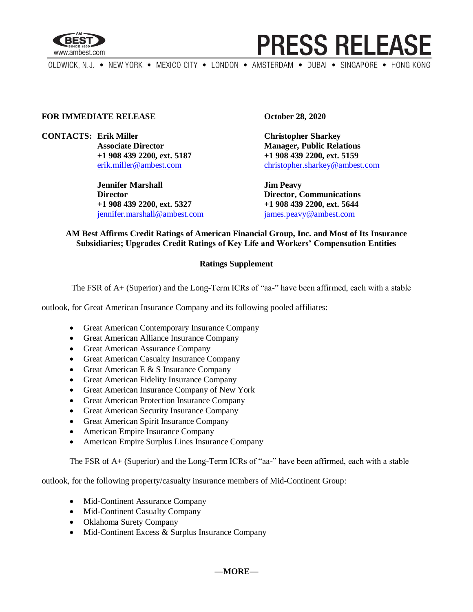

# **PRESS RELEASE**

OLDWICK, N.J. . NEW YORK . MEXICO CITY . LONDON . AMSTERDAM . DUBAI . SINGAPORE . HONG KONG

#### **FOR IMMEDIATE RELEASE October 28, 2020**

**CONTACTS: Erik Miller Christopher Sharkey**

**Jennifer Marshall Jim Peavy Director Director, Communications +1 908 439 2200, ext. 5327 +1 908 439 2200, ext. 5644** [jennifer.marshall@ambest.com](mailto:jennifer.marshall@ambest.com) [james.peavy@ambest.com](mailto:james.peavy@ambest.com)

**Associate Director Manager, Public Relations +1 908 439 2200, ext. 5187 +1 908 439 2200, ext. 5159** [erik.miller@ambest.com](mailto:erik.miller@ambest.com) [christopher.sharkey@ambest.com](mailto:christopher.sharkey@ambest.com)

### **AM Best Affirms Credit Ratings of American Financial Group, Inc. and Most of Its Insurance Subsidiaries; Upgrades Credit Ratings of Key Life and Workers' Compensation Entities**

### **Ratings Supplement**

The FSR of A+ (Superior) and the Long-Term ICRs of "aa-" have been affirmed, each with a stable

outlook, for Great American Insurance Company and its following pooled affiliates:

- Great American Contemporary Insurance Company
- Great American Alliance Insurance Company
- Great American Assurance Company
- Great American Casualty Insurance Company
- Great American E  $&$  S Insurance Company
- Great American Fidelity Insurance Company
- Great American Insurance Company of New York
- Great American Protection Insurance Company
- Great American Security Insurance Company
- Great American Spirit Insurance Company
- American Empire Insurance Company
- American Empire Surplus Lines Insurance Company

The FSR of A+ (Superior) and the Long-Term ICRs of "aa-" have been affirmed, each with a stable

outlook, for the following property/casualty insurance members of Mid-Continent Group:

- Mid-Continent Assurance Company
- Mid-Continent Casualty Company
- Oklahoma Surety Company
- Mid-Continent Excess & Surplus Insurance Company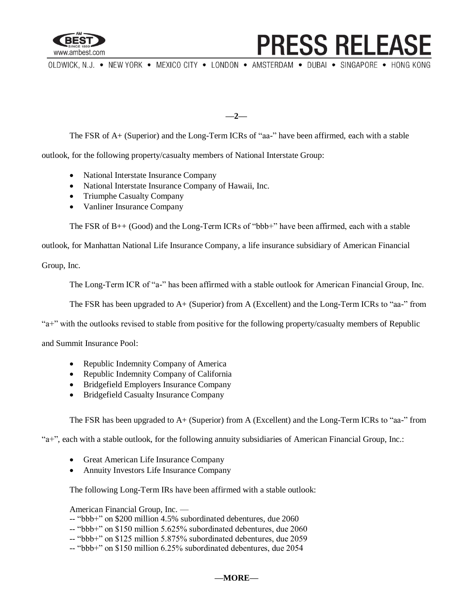

# **PRESS RELEASE**

OLDWICK, N.J. . NEW YORK . MEXICO CITY . LONDON . AMSTERDAM . DUBAI . SINGAPORE . HONG KONG

**—2—**

The FSR of A+ (Superior) and the Long-Term ICRs of "aa-" have been affirmed, each with a stable

outlook, for the following property/casualty members of National Interstate Group:

- National Interstate Insurance Company
- National Interstate Insurance Company of Hawaii, Inc.
- Triumphe Casualty Company
- Vanliner Insurance Company

The FSR of B<sub>++</sub> (Good) and the Long-Term ICRs of "bbb+" have been affirmed, each with a stable

outlook, for Manhattan National Life Insurance Company, a life insurance subsidiary of American Financial

Group, Inc.

The Long-Term ICR of "a-" has been affirmed with a stable outlook for American Financial Group, Inc.

The FSR has been upgraded to A+ (Superior) from A (Excellent) and the Long-Term ICRs to "aa-" from

"a+" with the outlooks revised to stable from positive for the following property/casualty members of Republic

and Summit Insurance Pool:

- Republic Indemnity Company of America
- Republic Indemnity Company of California
- Bridgefield Employers Insurance Company
- Bridgefield Casualty Insurance Company

The FSR has been upgraded to A+ (Superior) from A (Excellent) and the Long-Term ICRs to "aa-" from

"a+", each with a stable outlook, for the following annuity subsidiaries of American Financial Group, Inc.:

- Great American Life Insurance Company
- Annuity Investors Life Insurance Company

The following Long-Term IRs have been affirmed with a stable outlook:

American Financial Group, Inc. —

- -- "bbb+" on \$200 million 4.5% subordinated debentures, due 2060
- -- "bbb+" on \$150 million 5.625% subordinated debentures, due 2060
- -- "bbb+" on \$125 million 5.875% subordinated debentures, due 2059
- -- "bbb+" on \$150 million 6.25% subordinated debentures, due 2054